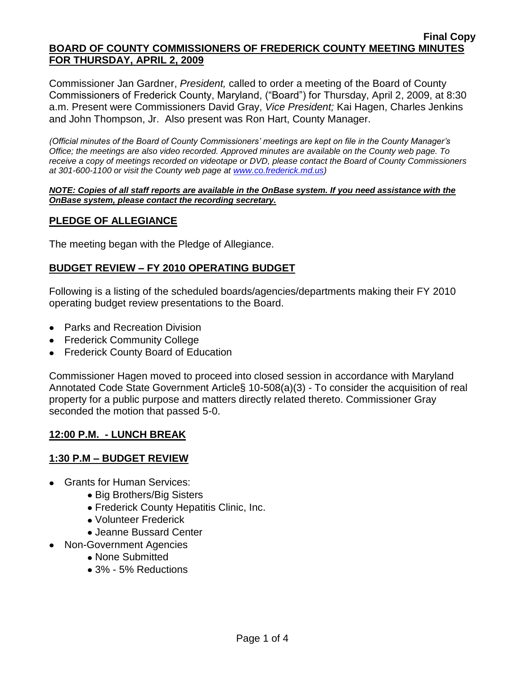Commissioner Jan Gardner, *President,* called to order a meeting of the Board of County Commissioners of Frederick County, Maryland, ("Board") for Thursday, April 2, 2009, at 8:30 a.m. Present were Commissioners David Gray, *Vice President;* Kai Hagen, Charles Jenkins and John Thompson, Jr. Also present was Ron Hart, County Manager.

*(Official minutes of the Board of County Commissioners' meetings are kept on file in the County Manager's Office; the meetings are also video recorded. Approved minutes are available on the County web page. To receive a copy of meetings recorded on videotape or DVD, please contact the Board of County Commissioners at 301-600-1100 or visit the County web page at [www.co.frederick.md.us\)](http://www.co.frederick.md.us/)*

#### *NOTE: Copies of all staff reports are available in the OnBase system. If you need assistance with the OnBase system, please contact the recording secretary.*

# **PLEDGE OF ALLEGIANCE**

The meeting began with the Pledge of Allegiance.

# **BUDGET REVIEW – FY 2010 OPERATING BUDGET**

Following is a listing of the scheduled boards/agencies/departments making their FY 2010 operating budget review presentations to the Board.

- Parks and Recreation Division
- Frederick Community College
- Frederick County Board of Education

Commissioner Hagen moved to proceed into closed session in accordance with Maryland Annotated Code State Government Article§ 10-508(a)(3) - To consider the acquisition of real property for a public purpose and matters directly related thereto. Commissioner Gray seconded the motion that passed 5-0.

# **12:00 P.M. - LUNCH BREAK**

## **1:30 P.M – BUDGET REVIEW**

- Grants for Human Services:
	- Big Brothers/Big Sisters
	- Frederick County Hepatitis Clinic, Inc.
	- Volunteer Frederick
	- Jeanne Bussard Center
- Non-Government Agencies
	- None Submitted
	- 3% 5% Reductions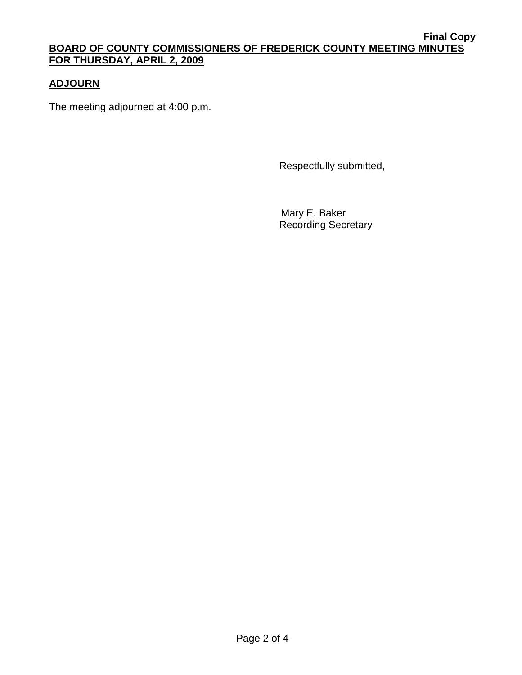# **ADJOURN**

The meeting adjourned at 4:00 p.m.

Respectfully submitted,

 Mary E. Baker Recording Secretary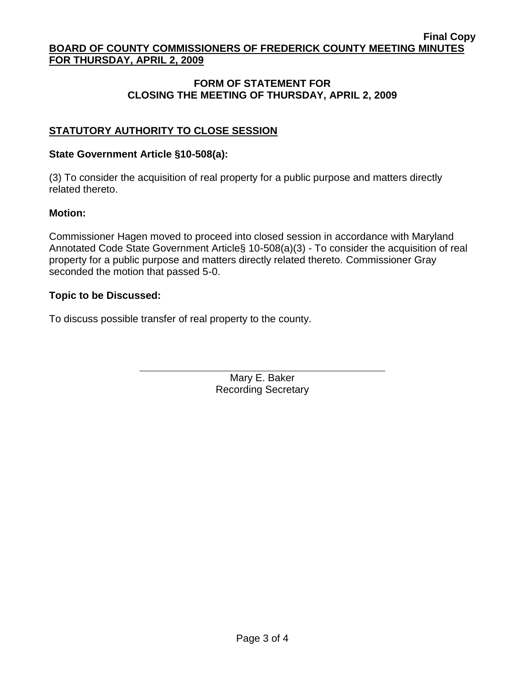# **FORM OF STATEMENT FOR CLOSING THE MEETING OF THURSDAY, APRIL 2, 2009**

# **STATUTORY AUTHORITY TO CLOSE SESSION**

### **State Government Article §10-508(a):**

(3) To consider the acquisition of real property for a public purpose and matters directly related thereto.

### **Motion:**

Commissioner Hagen moved to proceed into closed session in accordance with Maryland Annotated Code State Government Article§ 10-508(a)(3) - To consider the acquisition of real property for a public purpose and matters directly related thereto. Commissioner Gray seconded the motion that passed 5-0.

### **Topic to be Discussed:**

To discuss possible transfer of real property to the county.

Mary E. Baker Recording Secretary